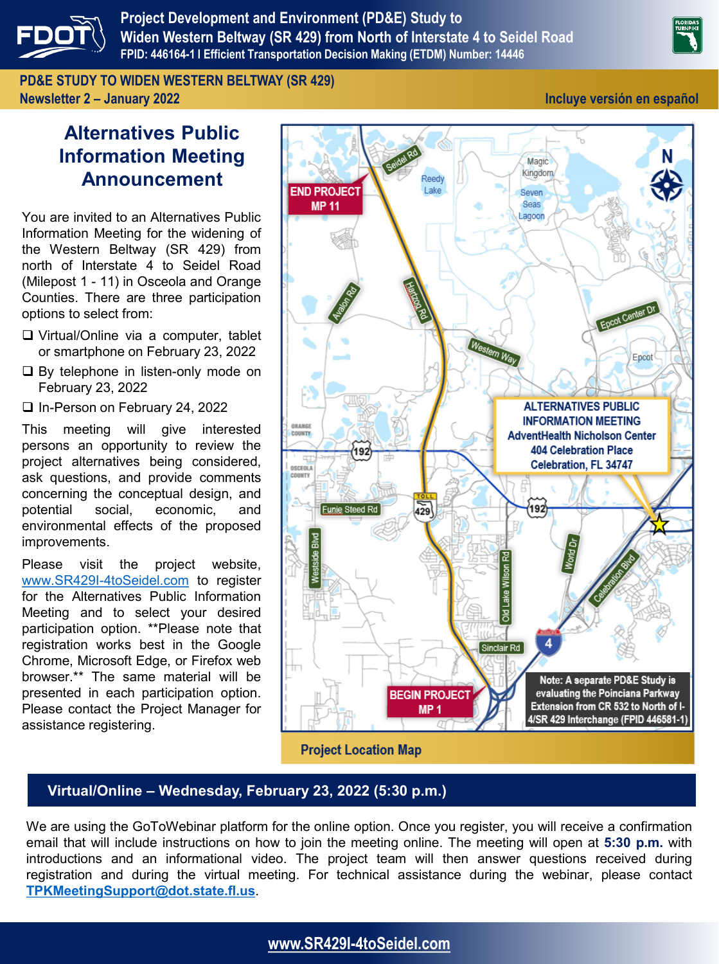

**Project Development and Environment (PD&E) Study to Widen Western Beltway (SR 429) from North of Interstate 4 to Seidel Road FPID: 446164-1 l Efficient Transportation Decision Making (ETDM) Number: 14446**

**PD&E STUDY TO WIDEN WESTERN BELTWAY (SR 429) Newsletter 2 – January 2022 Incluye versión en español**

# **Alternatives Public Information Meeting Announcement**

You are invited to an Alternatives Public Information Meeting for the widening of the Western Beltway (SR 429) from north of Interstate 4 to Seidel Road (Milepost 1 - 11) in Osceola and Orange Counties. There are three participation options to select from:

- ❑ Virtual/Online via a computer, tablet or smartphone on February 23, 2022
- ❑ By telephone in listen-only mode on February 23, 2022
- ❑ In-Person on February 24, 2022

This meeting will give interested persons an opportunity to review the project alternatives being considered, ask questions, and provide comments concerning the conceptual design, and potential social, economic, and environmental effects of the proposed improvements.

Please visit the project website, [www.SR429I-4toSeidel.com](http://www.sr429i-4toseidel.com/) to register for the Alternatives Public Information Meeting and to select your desired participation option. \*\*Please note that registration works best in the Google Chrome, Microsoft Edge, or Firefox web browser.\*\* The same material will be presented in each participation option. Please contact the Project Manager for assistance registering.



#### **Project Location Map**

#### **Virtual/Online – Wednesday, February 23, 2022 (5:30 p.m.)**

We are using the GoToWebinar platform for the online option. Once you register, you will receive a confirmation email that will include instructions on how to join the meeting online. The meeting will open at **5:30 p.m.** with introductions and an informational video. The project team will then answer questions received during registration and during the virtual meeting. For technical assistance during the webinar, please contact **[TPKMeetingSupport@dot.state.fl.us](mailto:TPKMeetingSupport@dot.state.fl.us)**.

### **[www.SR429I-4toSeidel.com](http://www.sr429i-4toseidel.com/)**